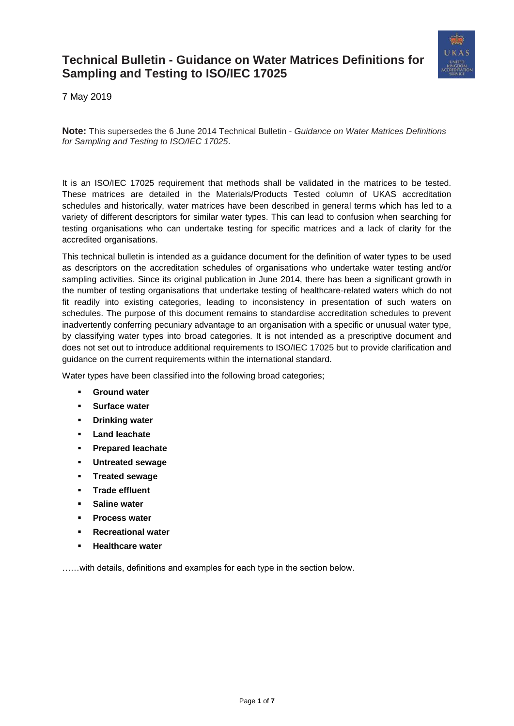

7 May 2019

**Note:** This supersedes the 6 June 2014 Technical Bulletin - *Guidance on Water Matrices Definitions for Sampling and Testing to ISO/IEC 17025*.

It is an ISO/IEC 17025 requirement that methods shall be validated in the matrices to be tested. These matrices are detailed in the Materials/Products Tested column of UKAS accreditation schedules and historically, water matrices have been described in general terms which has led to a variety of different descriptors for similar water types. This can lead to confusion when searching for testing organisations who can undertake testing for specific matrices and a lack of clarity for the accredited organisations.

This technical bulletin is intended as a guidance document for the definition of water types to be used as descriptors on the accreditation schedules of organisations who undertake water testing and/or sampling activities. Since its original publication in June 2014, there has been a significant growth in the number of testing organisations that undertake testing of healthcare-related waters which do not fit readily into existing categories, leading to inconsistency in presentation of such waters on schedules. The purpose of this document remains to standardise accreditation schedules to prevent inadvertently conferring pecuniary advantage to an organisation with a specific or unusual water type, by classifying water types into broad categories. It is not intended as a prescriptive document and does not set out to introduce additional requirements to ISO/IEC 17025 but to provide clarification and guidance on the current requirements within the international standard.

Water types have been classified into the following broad categories;

- **[Ground water](#page-1-0)**
- **[Surface water](#page-1-1)**
- **[Drinking water](#page-1-2)**
- **[Land leachate](#page-2-0)**
- **[Prepared leachate](#page-2-1)**
- **[Untreated sewage](#page-2-2)**
- **[Treated sewage](#page-3-0)**
- **[Trade effluent](#page-3-1)**
- **[Saline water](#page-4-0)**
- **[Process water](#page-4-1)**
- **[Recreational water](#page-5-0)**
- **[Healthcare water](#page-5-1)**

……with details, definitions and examples for each type in the section below.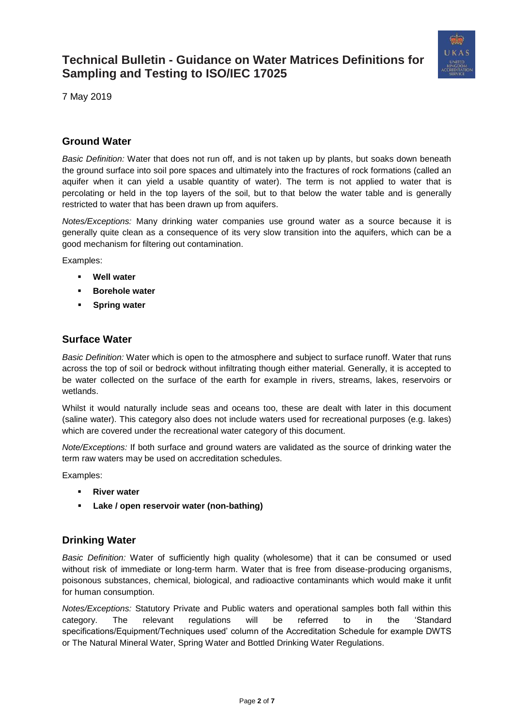

7 May 2019

### <span id="page-1-0"></span>**Ground Water**

*Basic Definition:* Water that does not run off, and is not taken up by plants, but soaks down beneath the ground surface into soil pore spaces and ultimately into the fractures of rock formations (called an aquifer when it can yield a usable quantity of water). The term is not applied to water that is percolating or held in the top layers of the soil, but to that below the water table and is generally restricted to water that has been drawn up from aquifers.

*Notes/Exceptions:* Many drinking water companies use ground water as a source because it is generally quite clean as a consequence of its very slow transition into the aquifers, which can be a good mechanism for filtering out contamination.

Examples:

- **Well water**
- **Borehole water**
- **Spring water**

### <span id="page-1-1"></span>**Surface Water**

*Basic Definition:* Water which is open to the atmosphere and subject to surface runoff. Water that runs across the top of soil or bedrock without infiltrating though either material. Generally, it is accepted to be water collected on the surface of the earth for example in rivers, streams, lakes, reservoirs or wetlands.

Whilst it would naturally include seas and oceans too, these are dealt with later in this document (saline water). This category also does not include waters used for recreational purposes (e.g. lakes) which are covered under the recreational water category of this document.

*Note/Exceptions:* If both surface and ground waters are validated as the source of drinking water the term raw waters may be used on accreditation schedules.

Examples:

- **River water**
- Lake / open reservoir water (non-bathing)

### <span id="page-1-2"></span>**Drinking Water**

*Basic Definition:* Water of sufficiently high quality (wholesome) that it can be consumed or used without risk of immediate or long-term harm. Water that is free from disease-producing organisms, poisonous substances, chemical, biological, and radioactive contaminants which would make it unfit for human consumption.

*Notes/Exceptions:* Statutory Private and Public waters and operational samples both fall within this category. The relevant regulations will be referred to in the 'Standard specifications/Equipment/Techniques used' column of the Accreditation Schedule for example DWTS or The Natural Mineral Water, Spring Water and Bottled Drinking Water Regulations.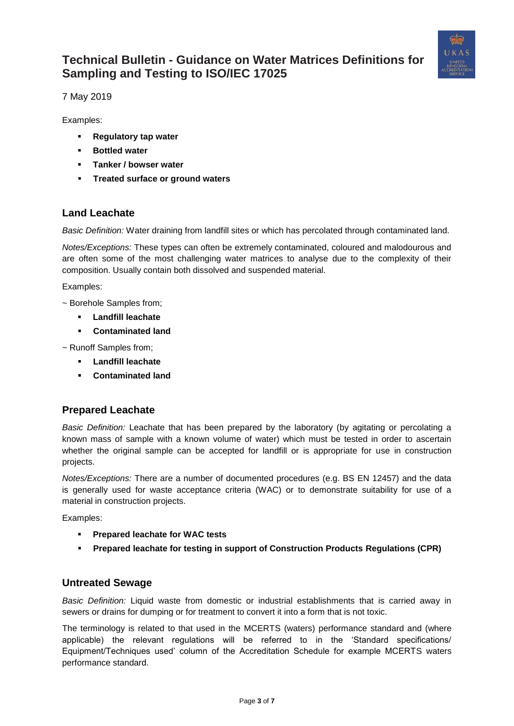

7 May 2019

Examples:

- **Regulatory tap water**
- **Bottled water**
- **Tanker / bowser water**
- **Treated surface or ground waters**

### <span id="page-2-0"></span>**Land Leachate**

*Basic Definition:* Water draining from landfill sites or which has percolated through contaminated land.

*Notes/Exceptions:* These types can often be extremely contaminated, coloured and malodourous and are often some of the most challenging water matrices to analyse due to the complexity of their composition. Usually contain both dissolved and suspended material.

Examples:

~ Borehole Samples from;

- **Landfill leachate**
- **Contaminated land**

~ Runoff Samples from;

- **Landfill leachate**
- **Contaminated land**

### <span id="page-2-1"></span>**Prepared Leachate**

*Basic Definition:* Leachate that has been prepared by the laboratory (by agitating or percolating a known mass of sample with a known volume of water) which must be tested in order to ascertain whether the original sample can be accepted for landfill or is appropriate for use in construction projects.

*Notes/Exceptions:* There are a number of documented procedures (e.g. BS EN 12457) and the data is generally used for waste acceptance criteria (WAC) or to demonstrate suitability for use of a material in construction projects.

Examples:

- **Prepared leachate for WAC tests**
- **Prepared leachate for testing in support of Construction Products Regulations (CPR)**

### <span id="page-2-2"></span>**Untreated Sewage**

*Basic Definition:* Liquid waste from domestic or industrial establishments that is carried away in sewers or drains for dumping or for treatment to convert it into a form that is not toxic.

The terminology is related to that used in the MCERTS (waters) performance standard and (where applicable) the relevant regulations will be referred to in the 'Standard specifications/ Equipment/Techniques used' column of the Accreditation Schedule for example MCERTS waters performance standard.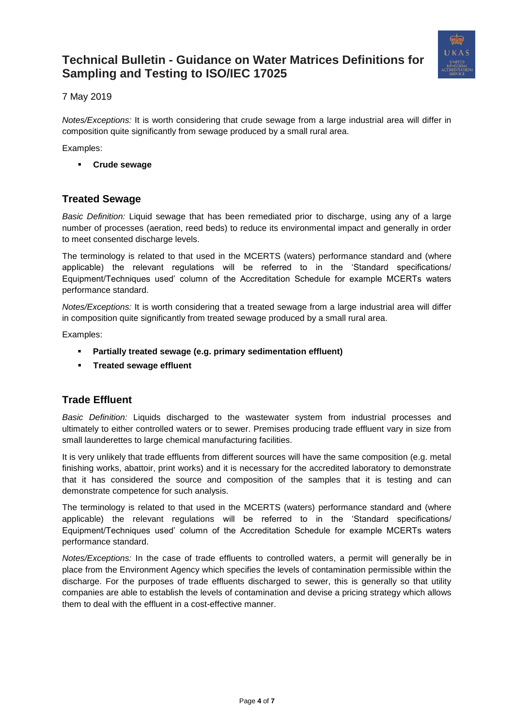

7 May 2019

*Notes/Exceptions:* It is worth considering that crude sewage from a large industrial area will differ in composition quite significantly from sewage produced by a small rural area.

Examples:

▪ **Crude sewage**

## <span id="page-3-0"></span>**Treated Sewage**

*Basic Definition:* Liquid sewage that has been remediated prior to discharge, using any of a large number of processes (aeration, reed beds) to reduce its environmental impact and generally in order to meet consented discharge levels.

The terminology is related to that used in the MCERTS (waters) performance standard and (where applicable) the relevant regulations will be referred to in the 'Standard specifications/ Equipment/Techniques used' column of the Accreditation Schedule for example MCERTs waters performance standard.

*Notes/Exceptions:* It is worth considering that a treated sewage from a large industrial area will differ in composition quite significantly from treated sewage produced by a small rural area.

Examples:

- **Partially treated sewage (e.g. primary sedimentation effluent)**
- **Treated sewage effluent**

### <span id="page-3-1"></span>**Trade Effluent**

*Basic Definition:* Liquids discharged to the wastewater system from industrial processes and ultimately to either controlled waters or to sewer. Premises producing trade effluent vary in size from small launderettes to large chemical manufacturing facilities.

It is very unlikely that trade effluents from different sources will have the same composition (e.g. metal finishing works, abattoir, print works) and it is necessary for the accredited laboratory to demonstrate that it has considered the source and composition of the samples that it is testing and can demonstrate competence for such analysis.

The terminology is related to that used in the MCERTS (waters) performance standard and (where applicable) the relevant regulations will be referred to in the 'Standard specifications/ Equipment/Techniques used' column of the Accreditation Schedule for example MCERTs waters performance standard.

*Notes/Exceptions:* In the case of trade effluents to controlled waters, a permit will generally be in place from the Environment Agency which specifies the levels of contamination permissible within the discharge. For the purposes of trade effluents discharged to sewer, this is generally so that utility companies are able to establish the levels of contamination and devise a pricing strategy which allows them to deal with the effluent in a cost-effective manner.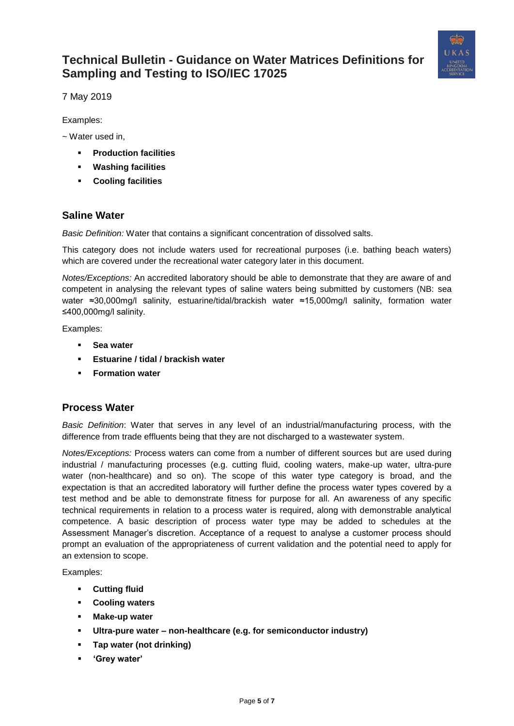

7 May 2019

Examples:

~ Water used in,

- **Production facilities**
- **Washing facilities**
- **Cooling facilities**

### <span id="page-4-0"></span>**Saline Water**

*Basic Definition:* Water that contains a significant concentration of dissolved salts.

This category does not include waters used for recreational purposes (i.e. bathing beach waters) which are covered under the recreational water category later in this document.

*Notes/Exceptions:* An accredited laboratory should be able to demonstrate that they are aware of and competent in analysing the relevant types of saline waters being submitted by customers (NB: sea water ≈30,000mg/l salinity, estuarine/tidal/brackish water ≈15,000mg/l salinity, formation water ≤400,000mg/l salinity.

Examples:

- **Sea water**
- **Estuarine / tidal / brackish water**
- **Formation water**

### <span id="page-4-1"></span>**Process Water**

*Basic Definition*: Water that serves in any level of an industrial/manufacturing process, with the difference from trade effluents being that they are not discharged to a wastewater system.

*Notes/Exceptions:* Process waters can come from a number of different sources but are used during industrial / manufacturing processes (e.g. cutting fluid, cooling waters, make-up water, ultra-pure water (non-healthcare) and so on). The scope of this water type category is broad, and the expectation is that an accredited laboratory will further define the process water types covered by a test method and be able to demonstrate fitness for purpose for all. An awareness of any specific technical requirements in relation to a process water is required, along with demonstrable analytical competence. A basic description of process water type may be added to schedules at the Assessment Manager's discretion. Acceptance of a request to analyse a customer process should prompt an evaluation of the appropriateness of current validation and the potential need to apply for an extension to scope.

Examples:

- **Cutting fluid**
- **Cooling waters**
- **Make-up water**
- **Ultra-pure water – non-healthcare (e.g. for semiconductor industry)**
- **Tap water (not drinking)**
- **'Grey water'**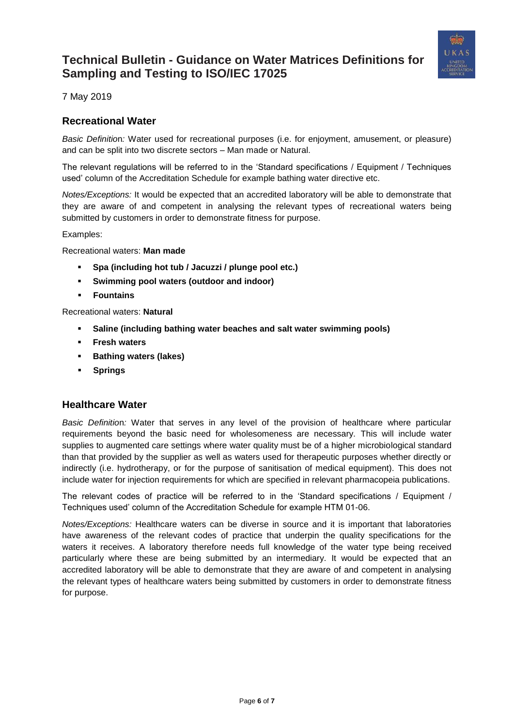

7 May 2019

### <span id="page-5-0"></span>**Recreational Water**

*Basic Definitio*n*:* Water used for recreational purposes (i.e. for enjoyment, amusement, or pleasure) and can be split into two discrete sectors – Man made or Natural.

The relevant regulations will be referred to in the 'Standard specifications / Equipment / Techniques used' column of the Accreditation Schedule for example bathing water directive etc.

*Notes/Exceptions:* It would be expected that an accredited laboratory will be able to demonstrate that they are aware of and competent in analysing the relevant types of recreational waters being submitted by customers in order to demonstrate fitness for purpose.

Examples:

Recreational waters: **Man made** 

- **Spa (including hot tub / Jacuzzi / plunge pool etc.)**
- **Swimming pool waters (outdoor and indoor)**
- **Fountains**

Recreational waters: **Natural**

- **Saline (including bathing water beaches and salt water swimming pools)**
- **Fresh waters**
- **Bathing waters (lakes)**
- **Springs**

#### <span id="page-5-1"></span>**Healthcare Water**

*Basic Definitio*n*:* Water that serves in any level of the provision of healthcare where particular requirements beyond the basic need for wholesomeness are necessary. This will include water supplies to augmented care settings where water quality must be of a higher microbiological standard than that provided by the supplier as well as waters used for therapeutic purposes whether directly or indirectly (i.e. hydrotherapy, or for the purpose of sanitisation of medical equipment). This does not include water for injection requirements for which are specified in relevant pharmacopeia publications.

The relevant codes of practice will be referred to in the 'Standard specifications / Equipment / Techniques used' column of the Accreditation Schedule for example HTM 01-06.

*Notes/Exceptions:* Healthcare waters can be diverse in source and it is important that laboratories have awareness of the relevant codes of practice that underpin the quality specifications for the waters it receives. A laboratory therefore needs full knowledge of the water type being received particularly where these are being submitted by an intermediary. It would be expected that an accredited laboratory will be able to demonstrate that they are aware of and competent in analysing the relevant types of healthcare waters being submitted by customers in order to demonstrate fitness for purpose.